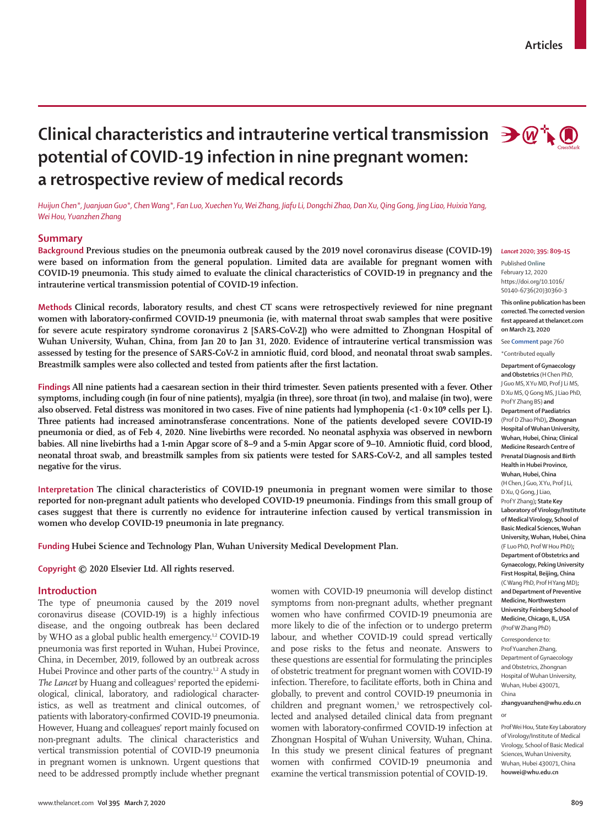# Clinical characteristics and intrauterine vertical transmission → @<sup>+</sup> **potential of COVID-19 infection in nine pregnant women: a retrospective review of medical records**

*Huijun Chen\*, Juanjuan Guo\*, Chen Wang\*, Fan Luo, Xuechen Yu, Wei Zhang, Jiafu Li, Dongchi Zhao, Dan Xu, Qing Gong, Jing Liao, Huixia Yang, Wei Hou, Yuanzhen Zhang*

## **Summary**

**Background Previous studies on the pneumonia outbreak caused by the 2019 novel coronavirus disease (COVID-19) were based on information from the general population. Limited data are available for pregnant women with COVID-19 pneumonia. This study aimed to evaluate the clinical characteristics of COVID-19 in pregnancy and the intrauterine vertical transmission potential of COVID-19 infection.**

**Methods Clinical records, laboratory results, and chest CT scans were retrospectively reviewed for nine pregnant women with laboratory-confirmed COVID-19 pneumonia (ie, with maternal throat swab samples that were positive for severe acute respiratory syndrome coronavirus 2 [SARS-CoV-2]) who were admitted to Zhongnan Hospital of Wuhan University, Wuhan, China, from Jan 20 to Jan 31, 2020. Evidence of intrauterine vertical transmission was assessed by testing for the presence of SARS-CoV-2 in amniotic fluid, cord blood, and neonatal throat swab samples. Breastmilk samples were also collected and tested from patients after the first lactation.**

**Findings All nine patients had a caesarean section in their third trimester. Seven patients presented with a fever. Other symptoms, including cough (in four of nine patients), myalgia (in three), sore throat (in two), and malaise (in two), were**  also observed. Fetal distress was monitored in two cases. Five of nine patients had lymphopenia  $\langle$ <1·0×10<sup>9</sup> cells per L). **Three patients had increased aminotransferase concentrations. None of the patients developed severe COVID-19 pneumonia or died, as of Feb 4, 2020. Nine livebirths were recorded. No neonatal asphyxia was observed in newborn babies. All nine livebirths had a 1-min Apgar score of 8–9 and a 5-min Apgar score of 9–10. Amniotic fluid, cord blood, neonatal throat swab, and breastmilk samples from six patients were tested for SARS-CoV-2, and all samples tested negative for the virus.**

**Interpretation The clinical characteristics of COVID-19 pneumonia in pregnant women were similar to those reported for non-pregnant adult patients who developed COVID-19 pneumonia. Findings from this small group of cases suggest that there is currently no evidence for intrauterine infection caused by vertical transmission in women who develop COVID-19 pneumonia in late pregnancy.**

**Funding Hubei Science and Technology Plan, Wuhan University Medical Development Plan.**

**Copyright © 2020 Elsevier Ltd. All rights reserved.**

## **Introduction**

The type of pneumonia caused by the 2019 novel coronavirus disease (COVID-19) is a highly infectious disease, and the ongoing outbreak has been declared by WHO as a global public health emergency.<sup>1,2</sup> COVID-19 pneumonia was first reported in Wuhan, Hubei Province, China, in December, 2019, followed by an outbreak across Hubei Province and other parts of the country.<sup>1,2</sup> A study in The Lancet by Huang and colleagues<sup>2</sup> reported the epidemiological, clinical, laboratory, and radiological characteristics, as well as treatment and clinical outcomes, of patients with laboratory-confirmed COVID-19 pneumonia. However, Huang and colleagues' report mainly focused on non-pregnant adults. The clinical characteristics and vertical transmission potential of COVID-19 pneumonia in pregnant women is unknown. Urgent questions that need to be addressed promptly include whether pregnant women with COVID-19 pneumonia will develop distinct symptoms from non-pregnant adults, whether pregnant women who have confirmed COVID-19 pneumonia are more likely to die of the infection or to undergo preterm labour, and whether COVID-19 could spread vertically and pose risks to the fetus and neonate. Answers to these questions are essential for formulating the principles of obstetric treatment for pregnant women with COVID-19 infection. Therefore, to facilitate efforts, both in China and globally, to prevent and control COVID-19 pneumonia in children and pregnant women,<sup>3</sup> we retrospectively collected and analysed detailed clinical data from pregnant women with laboratory-confirmed COVID-19 infection at Zhongnan Hospital of Wuhan University, Wuhan, China. In this study we present clinical features of pregnant women with confirmed COVID-19 pneumonia and examine the vertical transmission potential of COVID-19.



#### *Lancet* **2020; 395: 809–15**

Published **Online** February 12, 2020 https://doi.org/10.1016/ S0140-6736(20)30360-3

**This online publication has been corrected. The corrected version first appeared at thelancet.com on March 23, 2020**

See **Comment** page 760

\*Contributed equally

**Department of Gynaecology and Obstetrics** (H Chen PhD, J Guo MS, X Yu MD, Prof J Li MS, D Xu MS, Q Gong MS, J Liao PhD, Prof Y Zhang BS) **and Department of Paediatrics**  (Prof D Zhao PhD)**, Zhongnan Hospital of Wuhan University, Wuhan, Hubei, China; Clinical Medicine Research Centre of Prenatal Diagnosis and Birth Health in Hubei Province, Wuhan, Hubei, China** (H Chen, J Guo, X Yu, Prof J Li, D Xu, Q Gong, J Liao, Prof Y Zhang)**; State Key Laboratory of Virology/Institute of Medical Virology, School of Basic Medical Sciences, Wuhan University, Wuhan, Hubei, China** (F Luo PhD, Prof W Hou PhD)**; Department of Obstetrics and Gynaecology, Peking University First Hospital, Beijing, China** (C Wang PhD, Prof H Yang MD)**; and Department of Preventive Medicine, Northwestern University Feinberg School of Medicine, Chicago, IL, USA** (Prof W Zhang PhD)

Correspondence to: Prof Yuanzhen Zhang, Department of Gynaecology and Obstetrics, Zhongnan Hospital of Wuhan University, Wuhan, Hubei 430071, China

**zhangyuanzhen@whu.edu.cn** or

Prof Wei Hou, State Key Laboratory of Virology/Institute of Medical Virology, School of Basic Medical Sciences, Wuhan University, Wuhan, Hubei 430071, China **houwei@whu.edu.cn**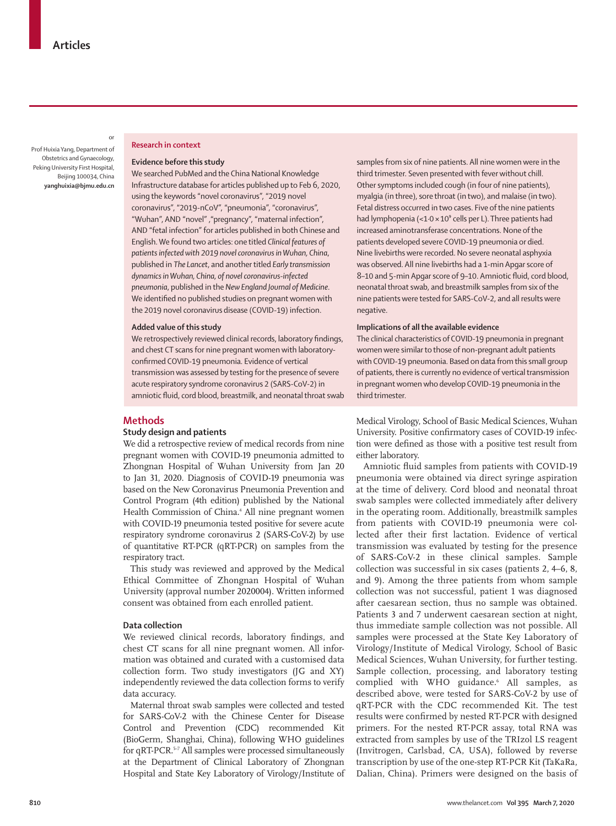Prof Huixia Yang, Department of Obstetrics and Gynaecology, Peking University First Hospital, Beijing 100034, China **yanghuixia@bjmu.edu.cn**

or

#### **Research in context**

#### **Evidence before this study**

We searched PubMed and the China National Knowledge Infrastructure database for articles published up to Feb 6, 2020, using the keywords "novel coronavirus", "2019 novel coronavirus", "2019-nCoV", "pneumonia", "coronavirus", "Wuhan", AND "novel" ,"pregnancy", "maternal infection", AND "fetal infection" for articles published in both Chinese and English. We found two articles: one titled *Clinical features of patients infected with 2019 novel coronavirus in Wuhan, China*, published in *The Lancet*, and another titled *Early transmission dynamics in Wuhan, China, of novel coronavirus-infected pneumonia*, published in the *New England Journal of Medicine*. We identified no published studies on pregnant women with the 2019 novel coronavirus disease (COVID-19) infection.

## **Added value of this study**

We retrospectively reviewed clinical records, laboratory findings, and chest CT scans for nine pregnant women with laboratoryconfirmed COVID-19 pneumonia. Evidence of vertical transmission was assessed by testing for the presence of severe acute respiratory syndrome coronavirus 2 (SARS-CoV-2) in amniotic fluid, cord blood, breastmilk, and neonatal throat swab

#### **Methods**

## **Study design and patients**

We did a retrospective review of medical records from nine pregnant women with COVID-19 pneumonia admitted to Zhongnan Hospital of Wuhan University from Jan 20 to Jan 31, 2020. Diagnosis of COVID-19 pneumonia was based on the New Coronavirus Pneumonia Prevention and Control Program (4th edition) published by the National Health Commission of China.<sup>4</sup> All nine pregnant women with COVID-19 pneumonia tested positive for severe acute respiratory syndrome coronavirus 2 (SARS-CoV-2) by use of quantitative RT-PCR (qRT-PCR) on samples from the respiratory tract.

This study was reviewed and approved by the Medical Ethical Committee of Zhongnan Hospital of Wuhan University (approval number 2020004). Written informed consent was obtained from each enrolled patient.

## **Data collection**

We reviewed clinical records, laboratory findings, and chest CT scans for all nine pregnant women. All information was obtained and curated with a customised data collection form. Two study investigators (JG and XY) independently reviewed the data collection forms to verify data accuracy.

Maternal throat swab samples were collected and tested for SARS-CoV-2 with the Chinese Center for Disease Control and Prevention (CDC) recommended Kit (BioGerm, Shanghai, China), following WHO guidelines for qRT-PCR.5–7 All samples were processed simultaneously at the Department of Clinical Laboratory of Zhongnan Hospital and State Key Laboratory of Virology/Institute of samples from six of nine patients. All nine women were in the third trimester. Seven presented with fever without chill. Other symptoms included cough (in four of nine patients), myalgia (in three), sore throat (in two), and malaise (in two). Fetal distress occurred in two cases. Five of the nine patients had lymphopenia (< $1.0 \times 10^9$  cells per L). Three patients had increased aminotransferase concentrations. None of the patients developed severe COVID-19 pneumonia or died. Nine livebirths were recorded. No severe neonatal asphyxia was observed. All nine livebirths had a 1-min Apgar score of 8–10 and 5-min Apgar score of 9–10. Amniotic fluid, cord blood, neonatal throat swab, and breastmilk samples from six of the nine patients were tested for SARS-CoV-2, and all results were negative.

## **Implications of all the available evidence**

The clinical characteristics of COVID-19 pneumonia in pregnant women were similar to those of non-pregnant adult patients with COVID-19 pneumonia. Based on data from this small group of patients, there is currently no evidence of vertical transmission in pregnant women who develop COVID-19 pneumonia in the third trimester.

Medical Virology, School of Basic Medical Sciences, Wuhan University. Positive confirmatory cases of COVID-19 infection were defined as those with a positive test result from either laboratory.

Amniotic fluid samples from patients with COVID-19 pneumonia were obtained via direct syringe aspiration at the time of delivery. Cord blood and neonatal throat swab samples were collected immediately after delivery in the operating room. Additionally, breastmilk samples from patients with COVID-19 pneumonia were collected after their first lactation. Evidence of vertical transmission was evaluated by testing for the presence of SARS-CoV-2 in these clinical samples. Sample collection was successful in six cases (patients 2, 4–6, 8, and 9). Among the three patients from whom sample collection was not successful, patient 1 was diagnosed after caesarean section, thus no sample was obtained. Patients 3 and 7 underwent caesarean section at night, thus immediate sample collection was not possible. All samples were processed at the State Key Laboratory of Virology/Institute of Medical Virology, School of Basic Medical Sciences, Wuhan University, for further testing. Sample collection, processing, and laboratory testing complied with WHO guidance.<sup>6</sup> All samples, as described above, were tested for SARS-CoV-2 by use of qRT-PCR with the CDC recommended Kit. The test results were confirmed by nested RT-PCR with designed primers. For the nested RT-PCR assay, total RNA was extracted from samples by use of the TRIzol LS reagent (Invitrogen, Carlsbad, CA, USA), followed by reverse transcription by use of the one-step RT-PCR Kit (TaKaRa, Dalian, China). Primers were designed on the basis of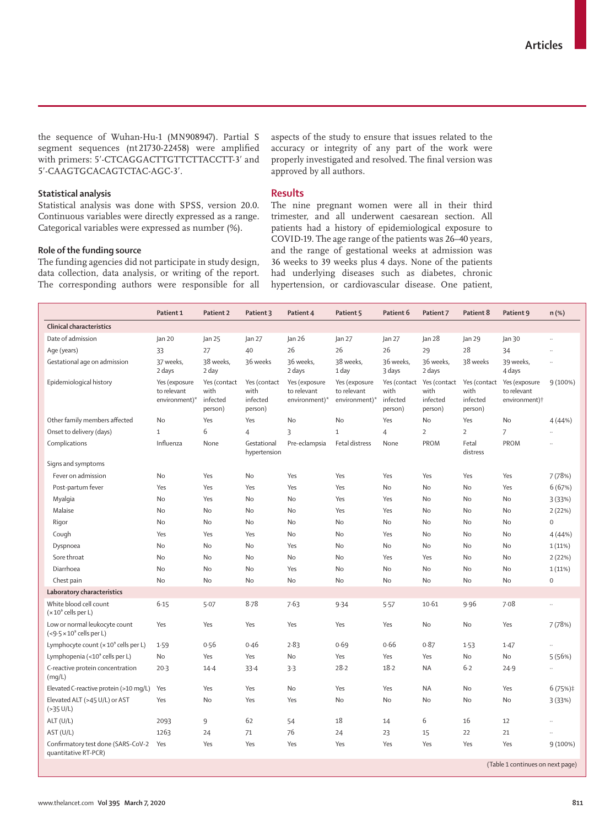the sequence of Wuhan-Hu-1 (MN908947). Partial S segment sequences (nt 21730-22458) were amplified with primers: 5'-CTCAGGACTTGTTCTTACCTT-3' and 5′-CAAGTGCACAGTCTAC-AGC-3′.

**Statistical analysis**

Statistical analysis was done with SPSS, version 20.0. Continuous variables were directly expressed as a range. Categorical variables were expressed as number (%).

#### **Role of the funding source**

The funding agencies did not participate in study design, data collection, data analysis, or writing of the report. The corresponding authors were responsible for all aspects of the study to ensure that issues related to the accuracy or integrity of any part of the work were properly investigated and resolved. The final version was approved by all authors.

## **Results**

The nine pregnant women were all in their third trimester, and all underwent caesarean section. All patients had a history of epidemiological exposure to COVID-19. The age range of the patients was 26–40 years, and the range of gestational weeks at admission was 36 weeks to 39 weeks plus 4 days. None of the patients had underlying diseases such as diabetes, chronic hypertension, or cardiovascular disease. One patient,

|                                                                   | Patient 1                                     | Patient 2                                   | Patient 3                                   | Patient 4                                     | Patient 5                                     | Patient 6                   | Patient 7                                                | Patient 8                   | Patient 9                                                              | n (%)                |
|-------------------------------------------------------------------|-----------------------------------------------|---------------------------------------------|---------------------------------------------|-----------------------------------------------|-----------------------------------------------|-----------------------------|----------------------------------------------------------|-----------------------------|------------------------------------------------------------------------|----------------------|
| <b>Clinical characteristics</b>                                   |                                               |                                             |                                             |                                               |                                               |                             |                                                          |                             |                                                                        |                      |
| Date of admission                                                 | Jan 20                                        | Jan 25                                      | Jan 27                                      | lan <sub>26</sub>                             | Jan 27                                        | Jan 27                      | Jan 28                                                   | Jan 29                      | Jan 30                                                                 |                      |
| Age (years)                                                       | 33                                            | 27                                          | 40                                          | 26                                            | 26                                            | 26                          | 29                                                       | 28                          | 34                                                                     | $\ddot{\phantom{a}}$ |
| Gestational age on admission                                      | 37 weeks,<br>2 days                           | 38 weeks,<br>2 day                          | 36 weeks                                    | 36 weeks,<br>2 days                           | 38 weeks,<br>1 day                            | 36 weeks,<br>3 days         | 36 weeks,<br>2 days                                      | 38 weeks                    | 39 weeks,<br>4 days                                                    |                      |
| Epidemiological history                                           | Yes (exposure<br>to relevant<br>environment)* | Yes (contact<br>with<br>infected<br>person) | Yes (contact<br>with<br>infected<br>person) | Yes (exposure<br>to relevant<br>environment)* | Yes (exposure<br>to relevant<br>environment)* | with<br>infected<br>person) | Yes (contact Yes (contact<br>with<br>infected<br>person) | with<br>infected<br>person) | Yes (contact Yes (exposure<br>to relevant<br>environment) <sup>+</sup> | 9(100%)              |
| Other family members affected                                     | <b>No</b>                                     | Yes                                         | Yes                                         | <b>No</b>                                     | <b>No</b>                                     | Yes                         | No                                                       | Yes                         | No                                                                     | 4 (44%)              |
| Onset to delivery (days)                                          | $\mathbf{1}$                                  | 6                                           | $\overline{4}$                              | 3                                             | $\mathbf{1}$                                  | $\overline{4}$              | $\overline{2}$                                           | $\overline{2}$              | 7                                                                      | $\ddot{\phantom{a}}$ |
| Complications                                                     | Influenza                                     | None                                        | Gestational<br>hypertension                 | Pre-eclampsia                                 | Fetal distress                                | None                        | PROM                                                     | Fetal<br>distress           | PROM                                                                   | $\ddot{\phantom{0}}$ |
| Signs and symptoms                                                |                                               |                                             |                                             |                                               |                                               |                             |                                                          |                             |                                                                        |                      |
| Fever on admission                                                | No                                            | Yes                                         | No                                          | Yes                                           | Yes                                           | Yes                         | Yes                                                      | Yes                         | Yes                                                                    | 7(78%)               |
| Post-partum fever                                                 | Yes                                           | Yes                                         | Yes                                         | Yes                                           | Yes                                           | No                          | No                                                       | No                          | Yes                                                                    | 6(67%)               |
| Myalgia                                                           | No                                            | Yes                                         | No                                          | No                                            | Yes                                           | Yes                         | No                                                       | No                          | No                                                                     | 3(33%)               |
| Malaise                                                           | No                                            | No                                          | No                                          | No                                            | Yes                                           | Yes                         | No                                                       | No                          | No                                                                     | 2(22%)               |
| Rigor                                                             | No                                            | No                                          | No                                          | No                                            | No                                            | No                          | No                                                       | No                          | No                                                                     | 0                    |
| Cough                                                             | Yes                                           | Yes                                         | Yes                                         | No                                            | No                                            | Yes                         | No                                                       | No                          | No                                                                     | 4(44%)               |
| Dyspnoea                                                          | No                                            | No                                          | No                                          | Yes                                           | No                                            | No                          | No                                                       | No                          | No                                                                     | 1(11%)               |
| Sore throat                                                       | No                                            | No                                          | No                                          | No                                            | No                                            | Yes                         | Yes                                                      | No                          | No                                                                     | 2(22%)               |
| Diarrhoea                                                         | No                                            | No                                          | No                                          | Yes                                           | No                                            | No                          | No                                                       | No                          | No                                                                     | 1(11%)               |
| Chest pain                                                        | No                                            | No                                          | No                                          | No                                            | No                                            | No                          | No                                                       | No                          | No                                                                     | $\boldsymbol{0}$     |
| Laboratory characteristics                                        |                                               |                                             |                                             |                                               |                                               |                             |                                                          |                             |                                                                        |                      |
| White blood cell count<br>$(x 109$ cells per L)                   | 6.15                                          | 5.07                                        | 8.78                                        | 7.63                                          | 9.34                                          | 5.57                        | 10.61                                                    | 9.96                        | 7.08                                                                   | $\ldots$             |
| Low or normal leukocyte count<br>$(<9.5 \times 10^9$ cells per L) | Yes                                           | Yes                                         | Yes                                         | Yes                                           | Yes                                           | Yes                         | No                                                       | No                          | Yes                                                                    | 7 (78%)              |
| Lymphocyte count $(x 10^9$ cells per L)                           | 1.59                                          | 0.56                                        | 0.46                                        | 2.83                                          | 0.69                                          | 0.66                        | 0.87                                                     | 1.53                        | 1.47                                                                   |                      |
| Lymphopenia (<10° cells per L)                                    | No                                            | Yes                                         | Yes                                         | <b>No</b>                                     | Yes                                           | Yes                         | Yes                                                      | No                          | No                                                                     | 5(56%)               |
| C-reactive protein concentration<br>(mg/L)                        | $20-3$                                        | $14 - 4$                                    | 33.4                                        | 3.3                                           | 28.2                                          | 18.2                        | <b>NA</b>                                                | $6-2$                       | 24.9                                                                   | $\ddotsc$            |
| Elevated C-reactive protein (>10 mg/L)                            | Yes                                           | Yes                                         | Yes                                         | No                                            | Yes                                           | Yes                         | <b>NA</b>                                                | No                          | Yes                                                                    | $6(75%)\ddagger$     |
| Elevated ALT (>45 U/L) or AST<br>( >35 U/L)                       | Yes                                           | No                                          | Yes                                         | Yes                                           | No                                            | No                          | No                                                       | No                          | No                                                                     | 3 (33%)              |
| ALT (U/L)                                                         | 2093                                          | 9                                           | 62                                          | 54                                            | 18                                            | 14                          | 6                                                        | 16                          | 12                                                                     | $\ddotsc$            |
| AST (U/L)                                                         | 1263                                          | 24                                          | 71                                          | 76                                            | 24                                            | 23                          | 15                                                       | 22                          | 21                                                                     |                      |
| Confirmatory test done (SARS-CoV-2<br>quantitative RT-PCR)        | Yes                                           | Yes                                         | Yes                                         | Yes                                           | Yes                                           | Yes                         | Yes                                                      | Yes                         | Yes                                                                    | 9(100%)              |
|                                                                   |                                               | (Table 1 continues on next page)            |                                             |                                               |                                               |                             |                                                          |                             |                                                                        |                      |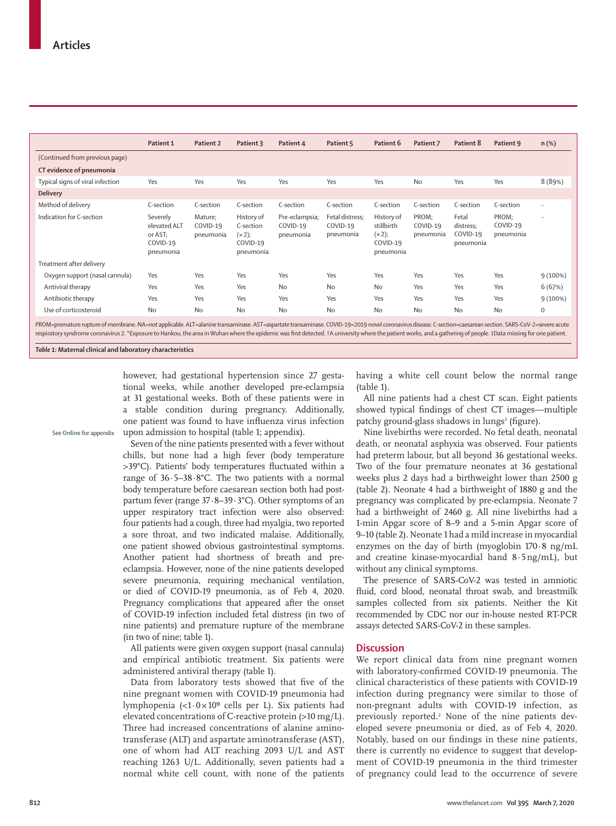|                                  | Patient 1                                                    | Patient 2                                                                                                          | Patient 3                                                     | Patient 4                               | Patient 5                                | Patient 6                                                      | Patient 7                      | Patient 8                                   | Patient 9                      | $n$ (%)     |
|----------------------------------|--------------------------------------------------------------|--------------------------------------------------------------------------------------------------------------------|---------------------------------------------------------------|-----------------------------------------|------------------------------------------|----------------------------------------------------------------|--------------------------------|---------------------------------------------|--------------------------------|-------------|
| (Continued from previous page)   |                                                              |                                                                                                                    |                                                               |                                         |                                          |                                                                |                                |                                             |                                |             |
| CT evidence of pneumonia         |                                                              |                                                                                                                    |                                                               |                                         |                                          |                                                                |                                |                                             |                                |             |
| Typical signs of viral infection | Yes                                                          | Yes                                                                                                                | Yes                                                           | Yes                                     | Yes                                      | Yes                                                            | <b>No</b>                      | Yes                                         | Yes                            | 8 (89%)     |
| <b>Delivery</b>                  |                                                              |                                                                                                                    |                                                               |                                         |                                          |                                                                |                                |                                             |                                |             |
| Method of delivery               | C-section                                                    | C-section                                                                                                          | C-section                                                     | C-section                               | C-section                                | C-section                                                      | C-section                      | C-section                                   | C-section                      | $\ldots$    |
| Indication for C-section         | Severely<br>elevated ALT<br>or AST;<br>COVID-19<br>pneumonia | Mature;<br>COVID-19<br>pneumonia                                                                                   | History of<br>C-section<br>$(x 2)$ ;<br>COVID-19<br>pneumonia | Pre-eclampsia;<br>COVID-19<br>pneumonia | Fetal distress;<br>COVID-19<br>pneumonia | History of<br>stillbirth<br>$(x 2)$ ;<br>COVID-19<br>pneumonia | PROM;<br>COVID-19<br>pneumonia | Fetal<br>distress;<br>COVID-19<br>pneumonia | PROM;<br>COVID-19<br>pneumonia | $\ddotsc$   |
| Treatment after delivery         |                                                              |                                                                                                                    |                                                               |                                         |                                          |                                                                |                                |                                             |                                |             |
| Oxygen support (nasal cannula)   | Yes                                                          | Yes                                                                                                                | Yes                                                           | Yes                                     | Yes                                      | Yes                                                            | Yes                            | Yes                                         | Yes                            | 9(100%)     |
| Antiviral therapy                | Yes                                                          | Yes                                                                                                                | Yes                                                           | No                                      | <b>No</b>                                | No                                                             | Yes                            | Yes                                         | Yes                            | 6(67%)      |
| Antibiotic therapy               | Yes                                                          | Yes                                                                                                                | Yes                                                           | Yes                                     | Yes                                      | Yes                                                            | Yes                            | Yes                                         | Yes                            | $9(100\%)$  |
| Use of corticosteroid            | <b>No</b>                                                    | <b>No</b>                                                                                                          | <b>No</b>                                                     | <b>No</b>                               | <b>No</b>                                | <b>No</b>                                                      | <b>No</b>                      | <b>No</b>                                   | <b>No</b>                      | $\mathbf 0$ |
|                                  |                                                              | $\mathbf{1}$ and $\mathbf{1}$ and $\mathbf{1}$ and $\mathbf{1}$ and $\mathbf{1}$ and $\mathbf{1}$ and $\mathbf{1}$ |                                                               |                                         |                                          |                                                                |                                |                                             |                                |             |

PROM=premature rupture of membrane. NA=not applicable. ALT=alanine transaminase. AST=aspartate transaminase. COVID-19=2019 novel coronavirus disease. C-section=caesarean section. SARS-CoV-2=severe acute respiratory syndrome coronavirus 2. \*Exposure to Hankou, the area in Wuhan where the epidemic was first detected. †A university where the patient works, and a gathering of people. ‡Data missing for one patient.

*Table 1:* **Maternal clinical and laboratory characteristics**

however, had gestational hypertension since 27 gestational weeks, while another developed pre-eclampsia at 31 gestational weeks. Both of these patients were in a stable condition during pregnancy. Additionally, one patient was found to have influenza virus infection upon admission to hospital (table 1; appendix).

See **Online** for appendix

Seven of the nine patients presented with a fever without chills, but none had a high fever (body temperature >39°C). Patients' body temperatures fluctuated within a range of  $36.5-38.8$ °C. The two patients with a normal body temperature before caesarean section both had postpartum fever (range 37·8–39·3°C). Other symptoms of an upper respiratory tract infection were also observed: four patients had a cough, three had myalgia, two reported a sore throat, and two indicated malaise. Additionally, one patient showed obvious gastrointestinal symptoms. Another patient had shortness of breath and preeclampsia. However, none of the nine patients developed severe pneumonia, requiring mechanical ventilation, or died of COVID-19 pneumonia, as of Feb 4, 2020. Pregnancy complications that appeared after the onset of COVID-19 infection included fetal distress (in two of nine patients) and premature rupture of the membrane (in two of nine; table 1).

All patients were given oxygen support (nasal cannula) and empirical antibiotic treatment. Six patients were administered antiviral therapy (table 1).

Data from laboratory tests showed that five of the nine pregnant women with COVID-19 pneumonia had lymphopenia  $\left( <1.0 \times 10<sup>9</sup> \right)$  cells per L). Six patients had elevated concentrations of C-reactive protein (>10 mg/L). Three had increased concentrations of alanine aminotransferase (ALT) and aspartate aminotransferase (AST), one of whom had ALT reaching 2093 U/L and AST reaching 1263 U/L. Additionally, seven patients had a normal white cell count, with none of the patients having a white cell count below the normal range (table 1).

All nine patients had a chest CT scan. Eight patients showed typical findings of chest CT images—multiple patchy ground-glass shadows in lungs<sup>2</sup> (figure).

Nine livebirths were recorded. No fetal death, neonatal death, or neonatal asphyxia was observed. Four patients had preterm labour, but all beyond 36 gestational weeks. Two of the four premature neonates at 36 gestational weeks plus 2 days had a birthweight lower than 2500 g (table 2). Neonate 4 had a birthweight of 1880 g and the pregnancy was complicated by pre-eclampsia. Neonate 7 had a birthweight of 2460 g. All nine livebirths had a 1-min Apgar score of 8–9 and a 5-min Apgar score of 9–10 (table 2). Neonate 1 had a mild increase in myocardial enzymes on the day of birth (myoglobin  $170.8 \text{ ng/mL}$ and creatine kinase-myocardial band 8·5ng/mL), but without any clinical symptoms.

The presence of SARS-CoV-2 was tested in amniotic fluid, cord blood, neonatal throat swab, and breastmilk samples collected from six patients. Neither the Kit recommended by CDC nor our in-house nested RT-PCR assays detected SARS-CoV-2 in these samples.

## **Discussion**

We report clinical data from nine pregnant women with laboratory-confirmed COVID-19 pneumonia. The clinical characteristics of these patients with COVID-19 infection during pregnancy were similar to those of non-pregnant adults with COVID-19 infection, as previously reported.<sup>2</sup> None of the nine patients developed severe pneumonia or died, as of Feb 4, 2020. Notably, based on our findings in these nine patients, there is currently no evidence to suggest that development of COVID-19 pneumonia in the third trimester of pregnancy could lead to the occurrence of severe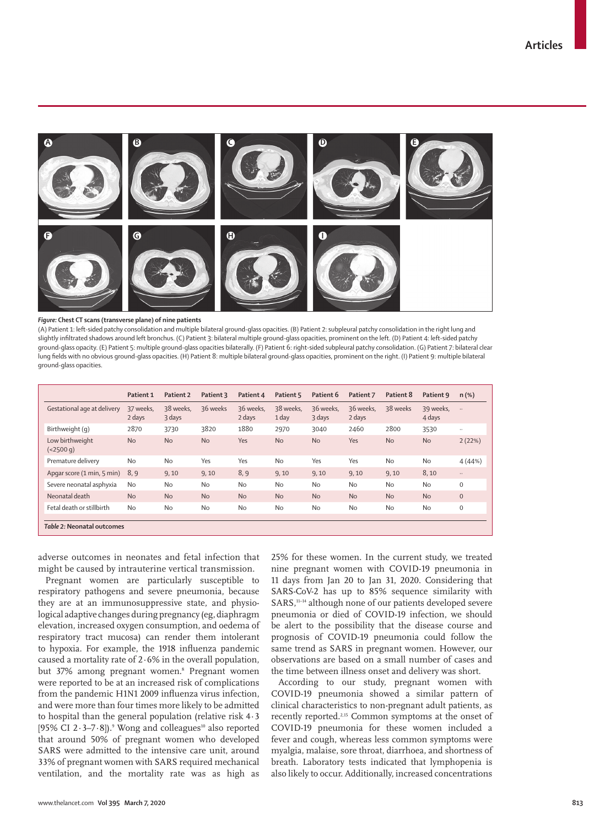

#### *Figure:* **Chest CT scans (transverse plane) of nine patients**

(A) Patient 1: left-sided patchy consolidation and multiple bilateral ground-glass opacities. (B) Patient 2: subpleural patchy consolidation in the right lung and slightly infiltrated shadows around left bronchus. (C) Patient 3: bilateral multiple ground-glass opacities, prominent on the left. (D) Patient 4: left-sided patchy ground-glass opacity. (E) Patient 5: multiple ground-glass opacities bilaterally. (F) Patient 6: right-sided subpleural patchy consolidation. (G) Patient 7: bilateral clear lung fields with no obvious ground-glass opacities. (H) Patient 8: multiple bilateral ground-glass opacities, prominent on the right. (I) Patient 9: multiple bilateral ground-glass opacities.

|                              | Patient 1           | Patient 2           | Patient 3 | Patient 4           | Patient 5          | Patient 6           | Patient 7           | Patient 8 | Patient 9           | $n$ (%)      |
|------------------------------|---------------------|---------------------|-----------|---------------------|--------------------|---------------------|---------------------|-----------|---------------------|--------------|
| Gestational age at delivery  | 37 weeks.<br>2 days | 38 weeks.<br>3 days | 36 weeks  | 36 weeks.<br>2 days | 38 weeks.<br>1 day | 36 weeks.<br>3 days | 36 weeks.<br>2 days | 38 weeks  | 39 weeks.<br>4 days | $\ldots$     |
| Birthweight (g)              | 2870                | 3730                | 3820      | 1880                | 2970               | 3040                | 2460                | 2800      | 3530                | $\ddotsc$    |
| Low birthweight<br>(<2500 q) | <b>No</b>           | <b>No</b>           | <b>No</b> | Yes                 | <b>No</b>          | <b>No</b>           | Yes                 | <b>No</b> | <b>No</b>           | 2(22%)       |
| Premature delivery           | <b>No</b>           | <b>No</b>           | Yes       | Yes                 | No                 | Yes                 | Yes                 | <b>No</b> | <b>No</b>           | 4(44%)       |
| Apgar score (1 min, 5 min)   | 8,9                 | 9,10                | 9, 10     | 8,9                 | 9,10               | 9,10                | 9, 10               | 9,10      | 8,10                | $\ddotsc$    |
| Severe neonatal asphyxia     | <b>No</b>           | <b>No</b>           | No        | <b>No</b>           | No                 | <b>No</b>           | <b>No</b>           | <b>No</b> | <b>No</b>           | $\mathbf{O}$ |
| Neonatal death               | <b>No</b>           | <b>No</b>           | <b>No</b> | <b>No</b>           | <b>No</b>          | <b>No</b>           | <b>No</b>           | <b>No</b> | <b>No</b>           | $\mathbf{0}$ |
| Fetal death or stillbirth    | <b>No</b>           | <b>No</b>           | <b>No</b> | <b>No</b>           | No                 | <b>No</b>           | No                  | <b>No</b> | <b>No</b>           | $\mathbf{O}$ |
| Table 2: Neonatal outcomes   |                     |                     |           |                     |                    |                     |                     |           |                     |              |

adverse outcomes in neonates and fetal infection that might be caused by intrauterine vertical transmission.

Pregnant women are particularly susceptible to respiratory pathogens and severe pneumonia, because they are at an immunosuppressive state, and physiological adaptive changes during pregnancy (eg, diaphragm elevation, increased oxygen consumption, and oedema of respiratory tract mucosa) can render them intolerant to hypoxia. For example, the 1918 influenza pandemic caused a mortality rate of  $2.6\%$  in the overall population, but 37% among pregnant women.<sup>8</sup> Pregnant women were reported to be at an increased risk of complications from the pandemic H1N1 2009 influenza virus infection, and were more than four times more likely to be admitted to hospital than the general population (relative risk 4·3 [95% CI 2 $\cdot$ 3-7 $\cdot$ 8]).<sup>9</sup> Wong and colleagues<sup>10</sup> also reported that around 50% of pregnant women who developed SARS were admitted to the intensive care unit, around 33% of pregnant women with SARS required mechanical ventilation, and the mortality rate was as high as

25% for these women. In the current study, we treated nine pregnant women with COVID-19 pneumonia in 11 days from Jan 20 to Jan 31, 2020. Considering that SARS-CoV-2 has up to 85% sequence similarity with SARS,<sup>11-14</sup> although none of our patients developed severe pneumonia or died of COVID-19 infection, we should be alert to the possibility that the disease course and prognosis of COVID-19 pneumonia could follow the same trend as SARS in pregnant women. However, our observations are based on a small number of cases and the time between illness onset and delivery was short.

According to our study, pregnant women with COVID-19 pneumonia showed a similar pattern of clinical characteristics to non-pregnant adult patients, as recently reported.2,15 Common symptoms at the onset of COVID-19 pneumonia for these women included a fever and cough, whereas less common symptoms were myalgia, malaise, sore throat, diarrhoea, and shortness of breath. Laboratory tests indicated that lymphopenia is also likely to occur. Additionally, increased concentrations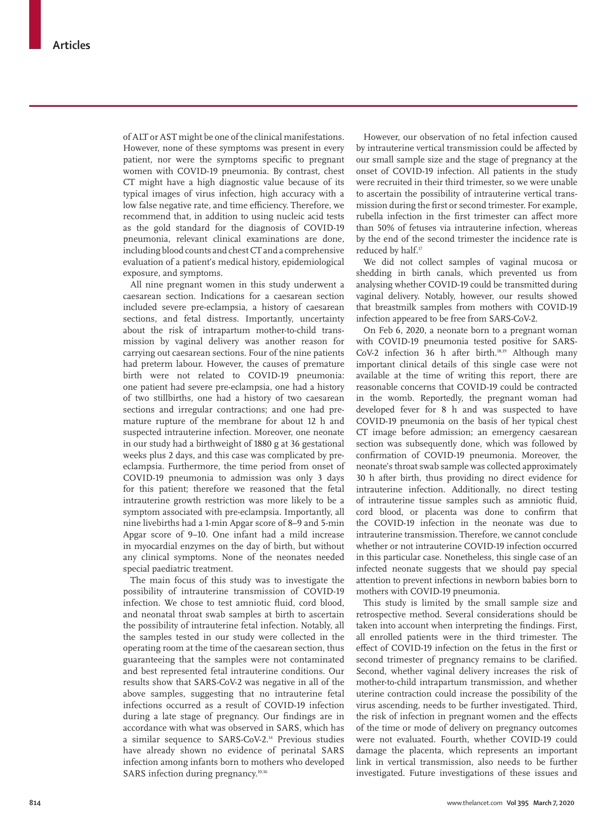of ALT or AST might be one of the clinical manifestations. However, none of these symptoms was present in every patient, nor were the symptoms specific to pregnant women with COVID-19 pneumonia. By contrast, chest CT might have a high diagnostic value because of its typical images of virus infection, high accuracy with a low false negative rate, and time efficiency. Therefore, we recommend that, in addition to using nucleic acid tests as the gold standard for the diagnosis of COVID-19 pneumonia, relevant clinical examinations are done, including blood counts and chest CT and a comprehensive evaluation of a patient's medical history, epidemiological exposure, and symptoms.

All nine pregnant women in this study underwent a caesarean section. Indications for a caesarean section included severe pre-eclampsia, a history of caesarean sections, and fetal distress. Importantly, uncertainty about the risk of intrapartum mother-to-child transmission by vaginal delivery was another reason for carrying out caesarean sections. Four of the nine patients had preterm labour. However, the causes of premature birth were not related to COVID-19 pneumonia: one patient had severe pre-eclampsia, one had a history of two stillbirths, one had a history of two caesarean sections and irregular contractions; and one had premature rupture of the membrane for about 12 h and suspected intrauterine infection. Moreover, one neonate in our study had a birthweight of 1880 g at 36 gestational weeks plus 2 days, and this case was complicated by preeclampsia. Furthermore, the time period from onset of COVID-19 pneumonia to admission was only 3 days for this patient; therefore we reasoned that the fetal intrauterine growth restriction was more likely to be a symptom associated with pre-eclampsia. Importantly, all nine livebirths had a 1-min Apgar score of 8–9 and 5-min Apgar score of 9–10. One infant had a mild increase in myocardial enzymes on the day of birth, but without any clinical symptoms. None of the neonates needed special paediatric treatment.

The main focus of this study was to investigate the possibility of intrauterine transmission of COVID-19 infection. We chose to test amniotic fluid, cord blood, and neonatal throat swab samples at birth to ascertain the possibility of intrauterine fetal infection. Notably, all the samples tested in our study were collected in the operating room at the time of the caesarean section, thus guaranteeing that the samples were not contaminated and best represented fetal intrauterine conditions. Our results show that SARS-CoV-2 was negative in all of the above samples, suggesting that no intrauterine fetal infections occurred as a result of COVID-19 infection during a late stage of pregnancy. Our findings are in accordance with what was observed in SARS, which has a similar sequence to SARS-CoV-2.14 Previous studies have already shown no evidence of perinatal SARS infection among infants born to mothers who developed SARS infection during pregnancy.<sup>10,16</sup>

However, our observation of no fetal infection caused by intrauterine vertical transmission could be affected by our small sample size and the stage of pregnancy at the onset of COVID-19 infection. All patients in the study were recruited in their third trimester, so we were unable to ascertain the possibility of intrauterine vertical transmission during the first or second trimester. For example, rubella infection in the first trimester can affect more than 50% of fetuses via intrauterine infection, whereas by the end of the second trimester the incidence rate is reduced by half.<sup>17</sup>

We did not collect samples of vaginal mucosa or shedding in birth canals, which prevented us from analysing whether COVID-19 could be transmitted during vaginal delivery. Notably, however, our results showed that breastmilk samples from mothers with COVID-19 infection appeared to be free from SARS-CoV-2.

On Feb 6, 2020, a neonate born to a pregnant woman with COVID-19 pneumonia tested positive for SARS-CoV-2 infection 36 h after birth.<sup>18,19</sup> Although many important clinical details of this single case were not available at the time of writing this report, there are reasonable concerns that COVID-19 could be contracted in the womb. Reportedly, the pregnant woman had developed fever for 8 h and was suspected to have COVID-19 pneumonia on the basis of her typical chest CT image before admission; an emergency caesarean section was subsequently done, which was followed by confirmation of COVID-19 pneumonia. Moreover, the neonate's throat swab sample was collected approximately 30 h after birth, thus providing no direct evidence for intrauterine infection. Additionally, no direct testing of intrauterine tissue samples such as amniotic fluid, cord blood, or placenta was done to confirm that the COVID-19 infection in the neonate was due to intrauterine transmission. Therefore, we cannot conclude whether or not intrauterine COVID-19 infection occurred in this particular case. Nonetheless, this single case of an infected neonate suggests that we should pay special attention to prevent infections in newborn babies born to mothers with COVID-19 pneumonia.

This study is limited by the small sample size and retrospective method. Several considerations should be taken into account when interpreting the findings. First, all enrolled patients were in the third trimester. The effect of COVID-19 infection on the fetus in the first or second trimester of pregnancy remains to be clarified. Second, whether vaginal delivery increases the risk of mother-to-child intrapartum transmission, and whether uterine contraction could increase the possibility of the virus ascending, needs to be further investigated. Third, the risk of infection in pregnant women and the effects of the time or mode of delivery on pregnancy outcomes were not evaluated. Fourth, whether COVID-19 could damage the placenta, which represents an important link in vertical transmission, also needs to be further investigated. Future investigations of these issues and